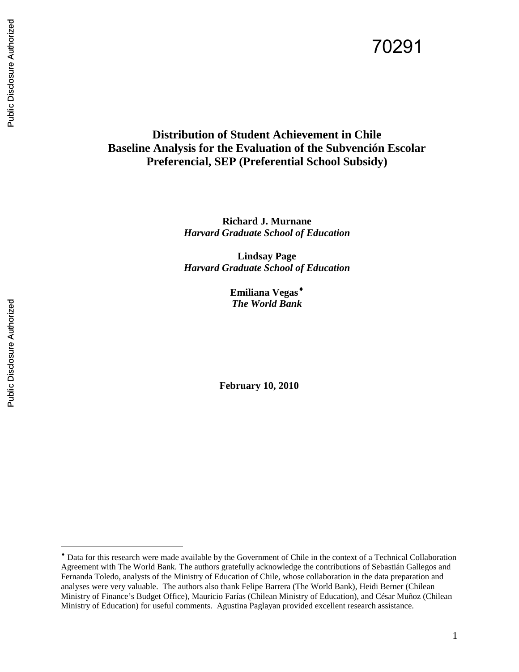# **Distribution of Student Achievement in Chile Baseline Analysis for the Evaluation of the Subvención Escolar Preferencial, SEP (Preferential School Subsidy)**

**Richard J. Murnane** *Harvard Graduate School of Education*

**Lindsay Page** *Harvard Graduate School of Education*

> **Emiliana Vegas**[♦](#page-0-0) *The World Bank*

**February 10, 2010**

 $\overline{a}$ 

<span id="page-0-0"></span><sup>♦</sup> Data for this research were made available by the Government of Chile in the context of a Technical Collaboration Agreement with The World Bank. The authors gratefully acknowledge the contributions of Sebastián Gallegos and Fernanda Toledo, analysts of the Ministry of Education of Chile, whose collaboration in the data preparation and analyses were very valuable. The authors also thank Felipe Barrera (The World Bank), Heidi Berner (Chilean Ministry of Finance's Budget Office), Mauricio Farías (Chilean Ministry of Education), and César Muñoz (Chilean Ministry of Education) for useful comments. Agustina Paglayan provided excellent research assistance.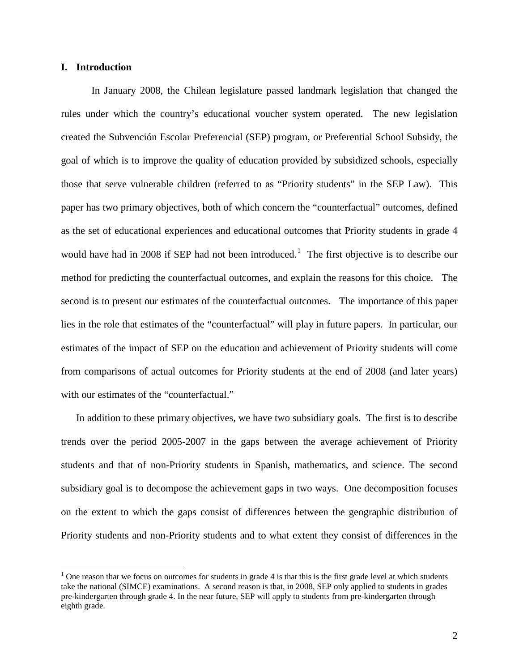## **I. Introduction**

In January 2008, the Chilean legislature passed landmark legislation that changed the rules under which the country's educational voucher system operated. The new legislation created the Subvención Escolar Preferencial (SEP) program, or Preferential School Subsidy, the goal of which is to improve the quality of education provided by subsidized schools, especially those that serve vulnerable children (referred to as "Priority students" in the SEP Law). This paper has two primary objectives, both of which concern the "counterfactual" outcomes, defined as the set of educational experiences and educational outcomes that Priority students in grade 4 would have had in 2008 if SEP had not been introduced.<sup>[1](#page-1-0)</sup> The first objective is to describe our method for predicting the counterfactual outcomes, and explain the reasons for this choice. The second is to present our estimates of the counterfactual outcomes. The importance of this paper lies in the role that estimates of the "counterfactual" will play in future papers. In particular, our estimates of the impact of SEP on the education and achievement of Priority students will come from comparisons of actual outcomes for Priority students at the end of 2008 (and later years) with our estimates of the "counterfactual."

In addition to these primary objectives, we have two subsidiary goals. The first is to describe trends over the period 2005-2007 in the gaps between the average achievement of Priority students and that of non-Priority students in Spanish, mathematics, and science. The second subsidiary goal is to decompose the achievement gaps in two ways. One decomposition focuses on the extent to which the gaps consist of differences between the geographic distribution of Priority students and non-Priority students and to what extent they consist of differences in the

<span id="page-1-0"></span><sup>&</sup>lt;sup>1</sup> One reason that we focus on outcomes for students in grade 4 is that this is the first grade level at which students take the national (SIMCE) examinations. A second reason is that, in 2008, SEP only applied to students in grades pre-kindergarten through grade 4. In the near future, SEP will apply to students from pre-kindergarten through eighth grade.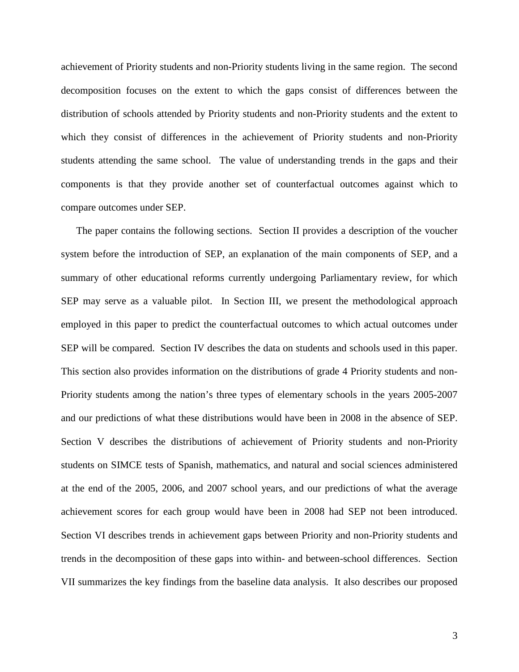achievement of Priority students and non-Priority students living in the same region. The second decomposition focuses on the extent to which the gaps consist of differences between the distribution of schools attended by Priority students and non-Priority students and the extent to which they consist of differences in the achievement of Priority students and non-Priority students attending the same school. The value of understanding trends in the gaps and their components is that they provide another set of counterfactual outcomes against which to compare outcomes under SEP.

The paper contains the following sections. Section [II](#page-3-0) provides a description of the voucher system before the introduction of SEP, an explanation of the main components of SEP, and a summary of other educational reforms currently undergoing Parliamentary review, for which SEP may serve as a valuable pilot. In Section [III,](#page-14-0) we present the methodological approach employed in this paper to predict the counterfactual outcomes to which actual outcomes under SEP will be compared. Section [IV](#page-20-0) describes the data on students and schools used in this paper. This section also provides information on the distributions of grade 4 Priority students and non-Priority students among the nation's three types of elementary schools in the years 2005-2007 and our predictions of what these distributions would have been in 2008 in the absence of SEP. Section [V](#page-24-0) describes the distributions of achievement of Priority students and non-Priority students on SIMCE tests of Spanish, mathematics, and natural and social sciences administered at the end of the 2005, 2006, and 2007 school years, and our predictions of what the average achievement scores for each group would have been in 2008 had SEP not been introduced. Section [VI](#page-31-0) describes trends in achievement gaps between Priority and non-Priority students and trends in the decomposition of these gaps into within- and between-school differences. Section [VII](#page-36-0) summarizes the key findings from the baseline data analysis. It also describes our proposed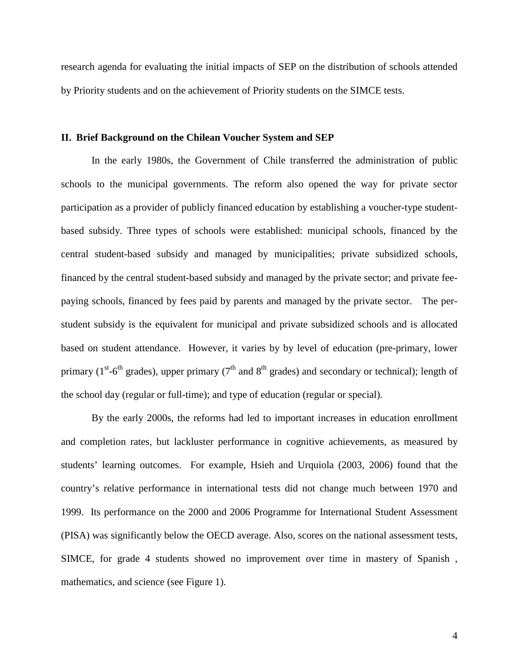research agenda for evaluating the initial impacts of SEP on the distribution of schools attended by Priority students and on the achievement of Priority students on the SIMCE tests.

## <span id="page-3-0"></span>**II. Brief Background on the Chilean Voucher System and SEP**

In the early 1980s, the Government of Chile transferred the administration of public schools to the municipal governments. The reform also opened the way for private sector participation as a provider of publicly financed education by establishing a voucher-type studentbased subsidy. Three types of schools were established: municipal schools, financed by the central student-based subsidy and managed by municipalities; private subsidized schools, financed by the central student-based subsidy and managed by the private sector; and private feepaying schools, financed by fees paid by parents and managed by the private sector. The perstudent subsidy is the equivalent for municipal and private subsidized schools and is allocated based on student attendance. However, it varies by by level of education (pre-primary, lower primary ( $1^{st}$ -6<sup>th</sup> grades), upper primary ( $7^{th}$  and  $8^{th}$  grades) and secondary or technical); length of the school day (regular or full-time); and type of education (regular or special).

By the early 2000s, the reforms had led to important increases in education enrollment and completion rates, but lackluster performance in cognitive achievements, as measured by students' learning outcomes. For example, Hsieh and Urquiola (2003, 2006) found that the country's relative performance in international tests did not change much between 1970 and 1999. Its performance on the 2000 and 2006 Programme for International Student Assessment (PISA) was significantly below the OECD average. Also, scores on the national assessment tests, SIMCE, for grade 4 students showed no improvement over time in mastery of Spanish , mathematics, and science (see [Figure 1\)](#page-4-0).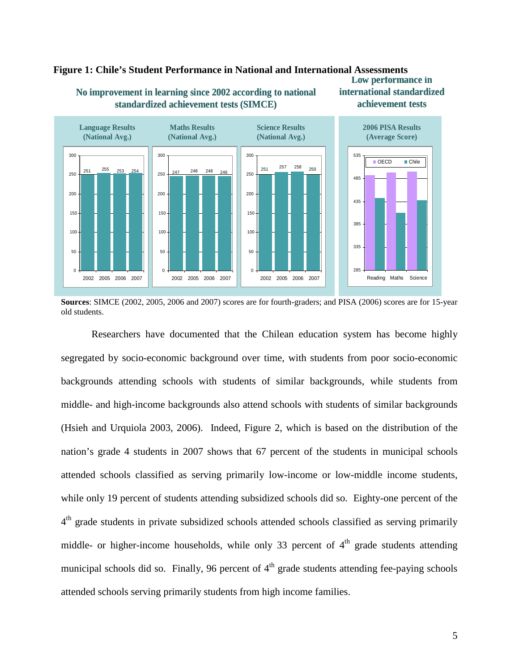

#### <span id="page-4-0"></span>**No improvement in learning since 2002 according to national Low performance in international standardized Figure 1: Chile's Student Performance in National and International Assessments**

**Sources**: SIMCE (2002, 2005, 2006 and 2007) scores are for fourth-graders; and PISA (2006) scores are for 15-year old students.

Researchers have documented that the Chilean education system has become highly segregated by socio-economic background over time, with students from poor socio-economic backgrounds attending schools with students of similar backgrounds, while students from middle- and high-income backgrounds also attend schools with students of similar backgrounds (Hsieh and Urquiola 2003, 2006). Indeed, [Figure 2,](#page-5-0) which is based on the distribution of the nation's grade 4 students in 2007 shows that 67 percent of the students in municipal schools attended schools classified as serving primarily low-income or low-middle income students, while only 19 percent of students attending subsidized schools did so. Eighty-one percent of the 4<sup>th</sup> grade students in private subsidized schools attended schools classified as serving primarily middle- or higher-income households, while only 33 percent of  $4<sup>th</sup>$  grade students attending municipal schools did so. Finally, 96 percent of  $4<sup>th</sup>$  grade students attending fee-paying schools attended schools serving primarily students from high income families.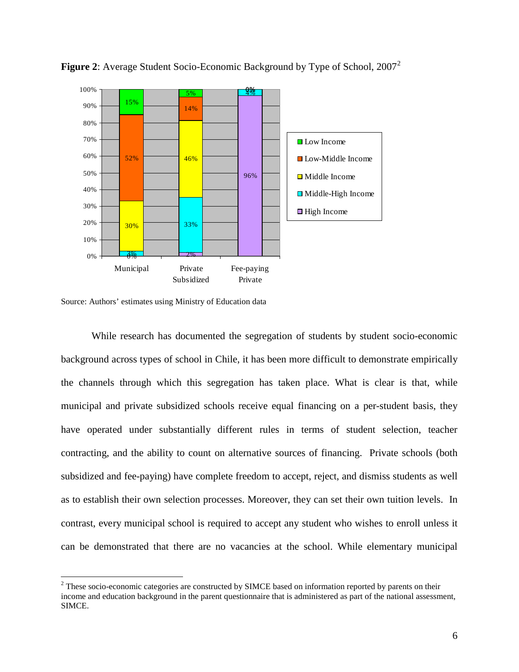

<span id="page-5-0"></span>**Figure [2](#page-5-1)**: Average Student Socio-Economic Background by Type of School, 2007<sup>2</sup>

Source: Authors' estimates using Ministry of Education data

While research has documented the segregation of students by student socio-economic background across types of school in Chile, it has been more difficult to demonstrate empirically the channels through which this segregation has taken place. What is clear is that, while municipal and private subsidized schools receive equal financing on a per-student basis, they have operated under substantially different rules in terms of student selection, teacher contracting, and the ability to count on alternative sources of financing. Private schools (both subsidized and fee-paying) have complete freedom to accept, reject, and dismiss students as well as to establish their own selection processes. Moreover, they can set their own tuition levels. In contrast, every municipal school is required to accept any student who wishes to enroll unless it can be demonstrated that there are no vacancies at the school. While elementary municipal

<span id="page-5-1"></span><sup>&</sup>lt;sup>2</sup> These socio-economic categories are constructed by SIMCE based on information reported by parents on their income and education background in the parent questionnaire that is administered as part of the national assessment, SIMCE.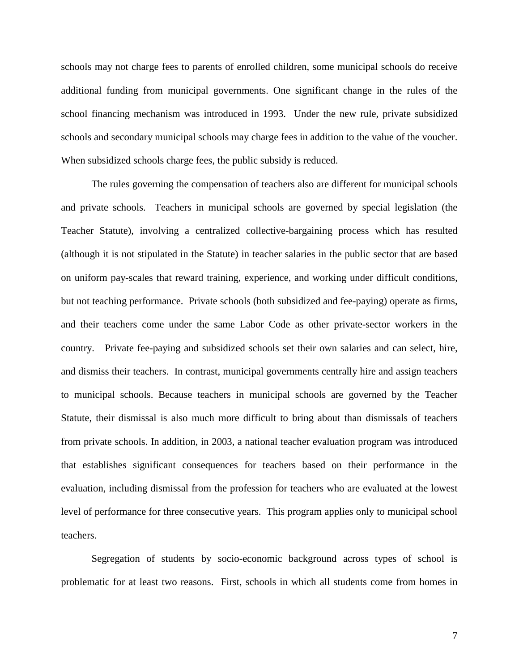schools may not charge fees to parents of enrolled children, some municipal schools do receive additional funding from municipal governments. One significant change in the rules of the school financing mechanism was introduced in 1993. Under the new rule, private subsidized schools and secondary municipal schools may charge fees in addition to the value of the voucher. When subsidized schools charge fees, the public subsidy is reduced.

The rules governing the compensation of teachers also are different for municipal schools and private schools. Teachers in municipal schools are governed by special legislation (the Teacher Statute), involving a centralized collective-bargaining process which has resulted (although it is not stipulated in the Statute) in teacher salaries in the public sector that are based on uniform pay-scales that reward training, experience, and working under difficult conditions, but not teaching performance. Private schools (both subsidized and fee-paying) operate as firms, and their teachers come under the same Labor Code as other private-sector workers in the country. Private fee-paying and subsidized schools set their own salaries and can select, hire, and dismiss their teachers. In contrast, municipal governments centrally hire and assign teachers to municipal schools. Because teachers in municipal schools are governed by the Teacher Statute, their dismissal is also much more difficult to bring about than dismissals of teachers from private schools. In addition, in 2003, a national teacher evaluation program was introduced that establishes significant consequences for teachers based on their performance in the evaluation, including dismissal from the profession for teachers who are evaluated at the lowest level of performance for three consecutive years. This program applies only to municipal school teachers.

Segregation of students by socio-economic background across types of school is problematic for at least two reasons. First, schools in which all students come from homes in

7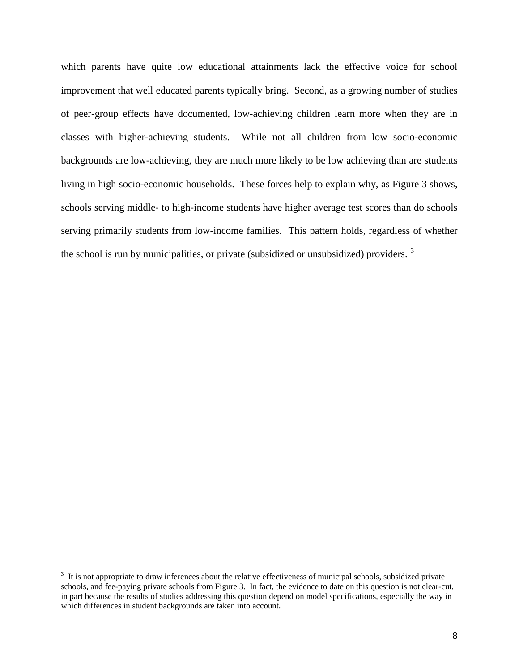which parents have quite low educational attainments lack the effective voice for school improvement that well educated parents typically bring. Second, as a growing number of studies of peer-group effects have documented, low-achieving children learn more when they are in classes with higher-achieving students. While not all children from low socio-economic backgrounds are low-achieving, they are much more likely to be low achieving than are students living in high socio-economic households. These forces help to explain why, as [Figure 3](#page-8-0) shows, schools serving middle- to high-income students have higher average test scores than do schools serving primarily students from low-income families. This pattern holds, regardless of whether the school is run by municipalities, or private (subsidized or unsubsidized) providers.  $3\overline{ }$  $3\overline{ }$ 

<span id="page-7-0"></span><sup>&</sup>lt;sup>2</sup><br>3  $3\,$  It is not appropriate to draw inferences about the relative effectiveness of municipal schools, subsidized private schools, and fee-paying private schools from Figure 3. In fact, the evidence to date on this question is not clear-cut, in part because the results of studies addressing this question depend on model specifications, especially the way in which differences in student backgrounds are taken into account.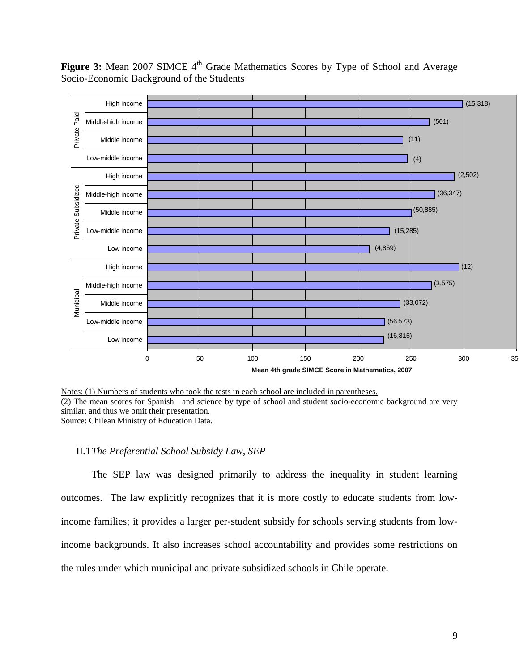<span id="page-8-0"></span>Figure 3: Mean 2007 SIMCE 4<sup>th</sup> Grade Mathematics Scores by Type of School and Average Socio-Economic Background of the Students



Notes: (1) Numbers of students who took the tests in each school are included in parentheses. Source: Chilean Ministry of Education Data. (2) The mean scores for Spanish and science by type of school and student socio-economic background are very similar, and thus we omit their presentation.

## II.1*The Preferential School Subsidy Law, SEP*

The SEP law was designed primarily to address the inequality in student learning outcomes. The law explicitly recognizes that it is more costly to educate students from lowincome families; it provides a larger per-student subsidy for schools serving students from lowincome backgrounds. It also increases school accountability and provides some restrictions on the rules under which municipal and private subsidized schools in Chile operate.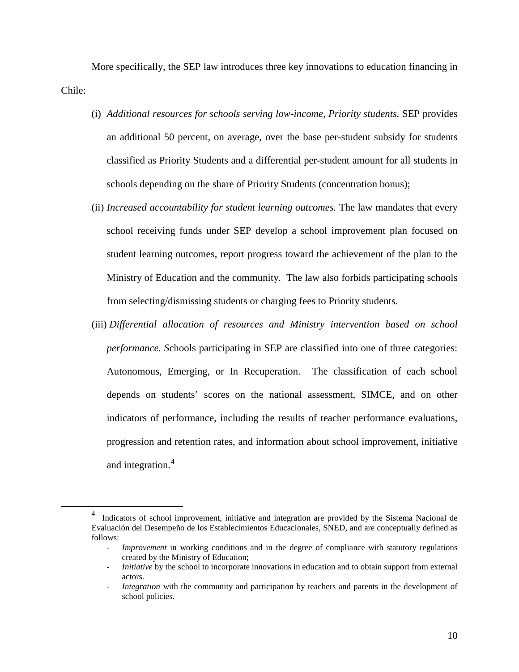More specifically, the SEP law introduces three key innovations to education financing in Chile:

- (i) *Additional resources for schools serving low-income, Priority students.* SEP provides an additional 50 percent, on average, over the base per-student subsidy for students classified as Priority Students and a differential per-student amount for all students in schools depending on the share of Priority Students (concentration bonus);
- (ii) *Increased accountability for student learning outcomes.* The law mandates that every school receiving funds under SEP develop a school improvement plan focused on student learning outcomes, report progress toward the achievement of the plan to the Ministry of Education and the community. The law also forbids participating schools from selecting/dismissing students or charging fees to Priority students.
- (iii) *Differential allocation of resources and Ministry intervention based on school performance.* Schools participating in SEP are classified into one of three categories: Autonomous, Emerging, or In Recuperation. The classification of each school depends on students' scores on the national assessment, SIMCE, and on other indicators of performance, including the results of teacher performance evaluations, progression and retention rates, and information about school improvement, initiative and integration.<sup>[4](#page-9-0)</sup>

<span id="page-9-0"></span> $\frac{1}{4}$ <sup>4</sup> Indicators of school improvement, initiative and integration are provided by the Sistema Nacional de Evaluación del Desempeño de los Establecimientos Educacionales, SNED, and are conceptually defined as follows:

*Improvement* in working conditions and in the degree of compliance with statutory regulations created by the Ministry of Education;

<sup>-</sup> *Initiative* by the school to incorporate innovations in education and to obtain support from external actors.

*Integration* with the community and participation by teachers and parents in the development of school policies.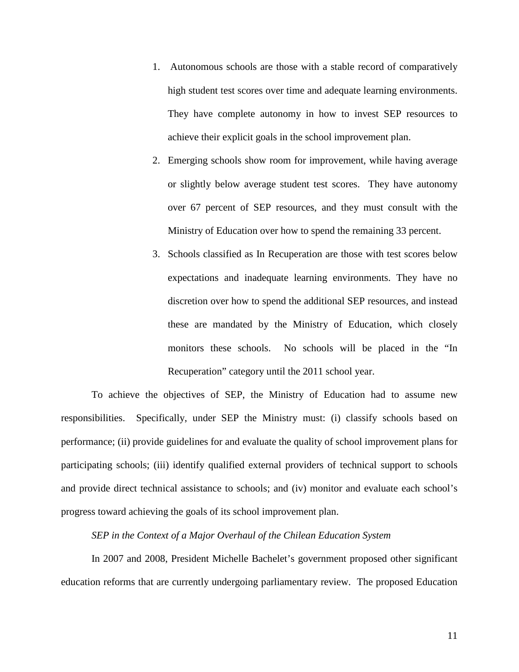- 1. Autonomous schools are those with a stable record of comparatively high student test scores over time and adequate learning environments. They have complete autonomy in how to invest SEP resources to achieve their explicit goals in the school improvement plan.
- 2. Emerging schools show room for improvement, while having average or slightly below average student test scores. They have autonomy over 67 percent of SEP resources, and they must consult with the Ministry of Education over how to spend the remaining 33 percent.
- 3. Schools classified as In Recuperation are those with test scores below expectations and inadequate learning environments. They have no discretion over how to spend the additional SEP resources, and instead these are mandated by the Ministry of Education, which closely monitors these schools. No schools will be placed in the "In Recuperation" category until the 2011 school year.

To achieve the objectives of SEP, the Ministry of Education had to assume new responsibilities. Specifically, under SEP the Ministry must: (i) classify schools based on performance; (ii) provide guidelines for and evaluate the quality of school improvement plans for participating schools; (iii) identify qualified external providers of technical support to schools and provide direct technical assistance to schools; and (iv) monitor and evaluate each school's progress toward achieving the goals of its school improvement plan.

*SEP in the Context of a Major Overhaul of the Chilean Education System*

In 2007 and 2008, President Michelle Bachelet's government proposed other significant education reforms that are currently undergoing parliamentary review. The proposed Education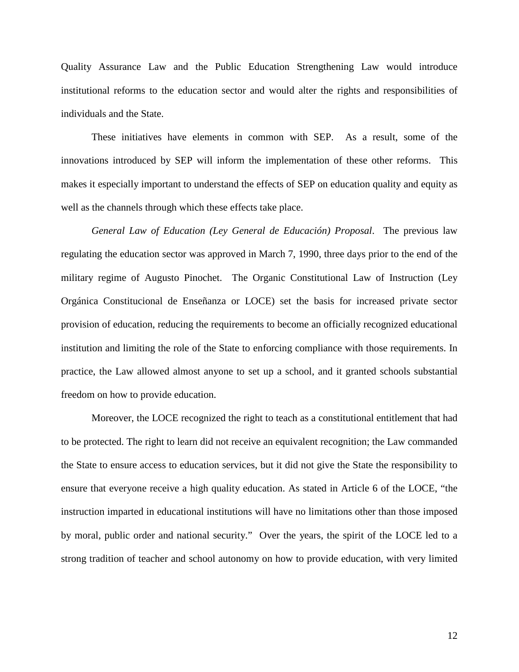Quality Assurance Law and the Public Education Strengthening Law would introduce institutional reforms to the education sector and would alter the rights and responsibilities of individuals and the State.

These initiatives have elements in common with SEP. As a result, some of the innovations introduced by SEP will inform the implementation of these other reforms. This makes it especially important to understand the effects of SEP on education quality and equity as well as the channels through which these effects take place.

*General Law of Education (Ley General de Educación) Proposal*. The previous law regulating the education sector was approved in March 7, 1990, three days prior to the end of the military regime of Augusto Pinochet. The Organic Constitutional Law of Instruction (Ley Orgánica Constitucional de Enseñanza or LOCE) set the basis for increased private sector provision of education, reducing the requirements to become an officially recognized educational institution and limiting the role of the State to enforcing compliance with those requirements. In practice, the Law allowed almost anyone to set up a school, and it granted schools substantial freedom on how to provide education.

Moreover, the LOCE recognized the right to teach as a constitutional entitlement that had to be protected. The right to learn did not receive an equivalent recognition; the Law commanded the State to ensure access to education services, but it did not give the State the responsibility to ensure that everyone receive a high quality education. As stated in Article 6 of the LOCE, "the instruction imparted in educational institutions will have no limitations other than those imposed by moral, public order and national security." Over the years, the spirit of the LOCE led to a strong tradition of teacher and school autonomy on how to provide education, with very limited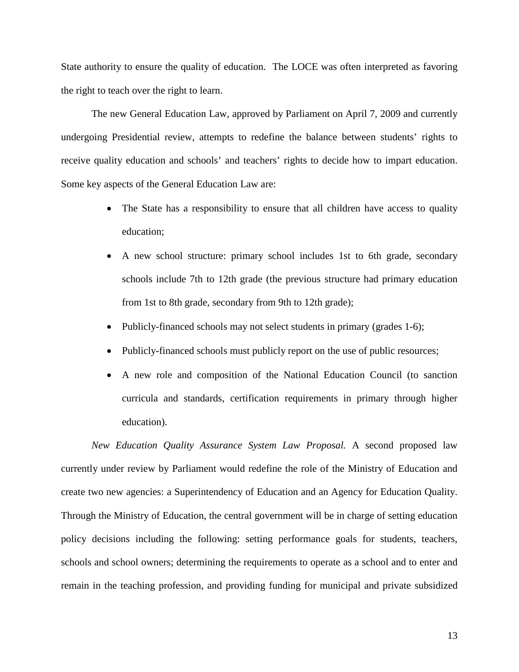State authority to ensure the quality of education. The LOCE was often interpreted as favoring the right to teach over the right to learn.

The new General Education Law, approved by Parliament on April 7, 2009 and currently undergoing Presidential review, attempts to redefine the balance between students' rights to receive quality education and schools' and teachers' rights to decide how to impart education. Some key aspects of the General Education Law are:

- The State has a responsibility to ensure that all children have access to quality education;
- A new school structure: primary school includes 1st to 6th grade, secondary schools include 7th to 12th grade (the previous structure had primary education from 1st to 8th grade, secondary from 9th to 12th grade);
- Publicly-financed schools may not select students in primary (grades 1-6);
- Publicly-financed schools must publicly report on the use of public resources;
- A new role and composition of the National Education Council (to sanction curricula and standards, certification requirements in primary through higher education).

*New Education Quality Assurance System Law Proposal.* A second proposed law currently under review by Parliament would redefine the role of the Ministry of Education and create two new agencies: a Superintendency of Education and an Agency for Education Quality. Through the Ministry of Education, the central government will be in charge of setting education policy decisions including the following: setting performance goals for students, teachers, schools and school owners; determining the requirements to operate as a school and to enter and remain in the teaching profession, and providing funding for municipal and private subsidized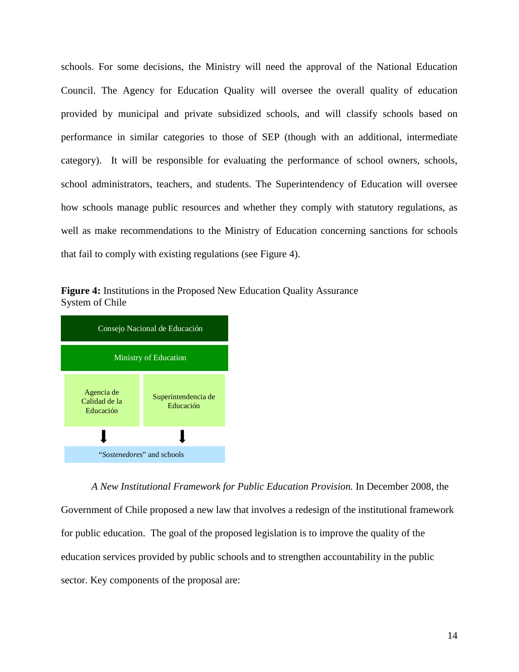schools. For some decisions, the Ministry will need the approval of the National Education Council. The Agency for Education Quality will oversee the overall quality of education provided by municipal and private subsidized schools, and will classify schools based on performance in similar categories to those of SEP (though with an additional, intermediate category). It will be responsible for evaluating the performance of school owners, schools, school administrators, teachers, and students. The Superintendency of Education will oversee how schools manage public resources and whether they comply with statutory regulations, as well as make recommendations to the Ministry of Education concerning sanctions for schools that fail to comply with existing regulations (see [Figure 4\)](#page-13-0).

<span id="page-13-0"></span>



*A New Institutional Framework for Public Education Provision.* In December 2008, the Government of Chile proposed a new law that involves a redesign of the institutional framework for public education. The goal of the proposed legislation is to improve the quality of the education services provided by public schools and to strengthen accountability in the public sector. Key components of the proposal are: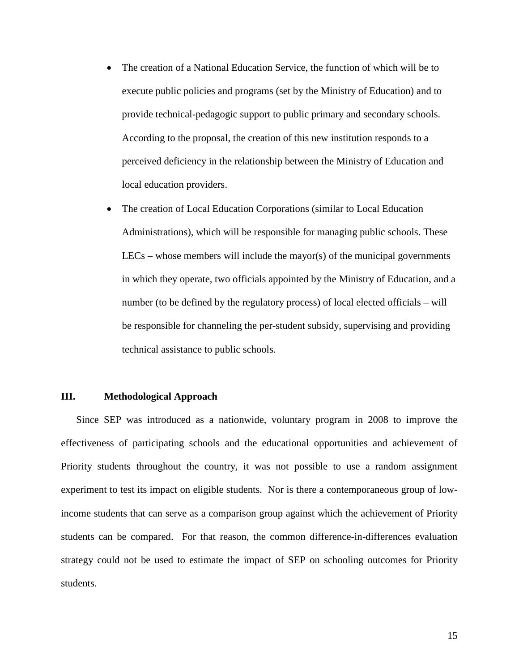- The creation of a National Education Service, the function of which will be to execute public policies and programs (set by the Ministry of Education) and to provide technical-pedagogic support to public primary and secondary schools. According to the proposal, the creation of this new institution responds to a perceived deficiency in the relationship between the Ministry of Education and local education providers.
- The creation of Local Education Corporations (similar to Local Education Administrations), which will be responsible for managing public schools. These  $LECs$  – whose members will include the mayor(s) of the municipal governments in which they operate, two officials appointed by the Ministry of Education, and a number (to be defined by the regulatory process) of local elected officials – will be responsible for channeling the per-student subsidy, supervising and providing technical assistance to public schools.

## <span id="page-14-0"></span>**III. Methodological Approach**

Since SEP was introduced as a nationwide, voluntary program in 2008 to improve the effectiveness of participating schools and the educational opportunities and achievement of Priority students throughout the country, it was not possible to use a random assignment experiment to test its impact on eligible students. Nor is there a contemporaneous group of lowincome students that can serve as a comparison group against which the achievement of Priority students can be compared. For that reason, the common difference-in-differences evaluation strategy could not be used to estimate the impact of SEP on schooling outcomes for Priority students.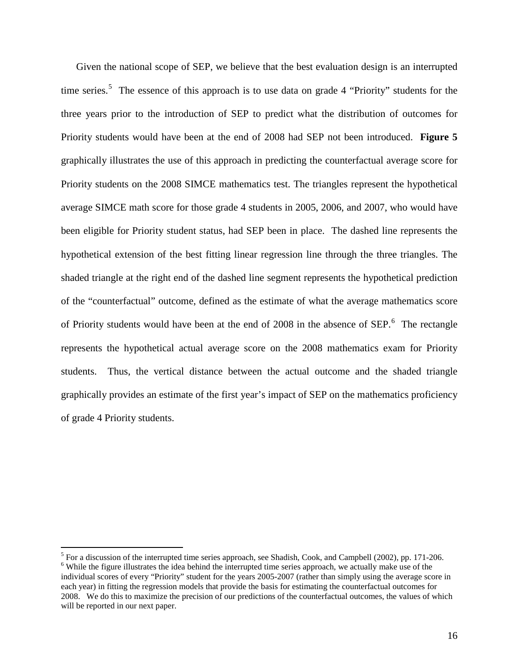Given the national scope of SEP, we believe that the best evaluation design is an interrupted time series.<sup>[5](#page-15-0)</sup> The essence of this approach is to use data on grade 4 "Priority" students for the Priority students would have been at the end of 2008 had SEP not been introduced. [Figure 5](#page-16-0) three years prior to the introduction of SEP to predict what the distribution of outcomes for graphically illustrates the use of this approach in predicting the counterfactual average score for Priority students on the 2008 SIMCE mathematics test. The triangles represent the hypothetical average SIMCE math score for those grade 4 students in 2005, 2006, and 2007, who would have been eligible for Priority student status, had SEP been in place. The dashed line represents the hypothetical extension of the best fitting linear regression line through the three triangles. The shaded triangle at the right end of the dashed line segment represents the hypothetical prediction of the "counterfactual" outcome, defined as the estimate of what the average mathematics score of Priority students would have been at the end of 2008 in the absence of SEP.<sup>[6](#page-15-1)</sup> The rectangle represents the hypothetical actual average score on the 2008 mathematics exam for Priority students. Thus, the vertical distance between the actual outcome and the shaded triangle graphically provides an estimate of the first year's impact of SEP on the mathematics proficiency of grade 4 Priority students.

<span id="page-15-1"></span><span id="page-15-0"></span> $5$  For a discussion of the interrupted time series approach, see Shadish, Cook, and Campbell (2002), pp. 171-206. <sup>6</sup> While the figure illustrates the idea behind the interrupted time series approach, we actually make use of the individual scores of every "Priority" student for the years 2005-2007 (rather than simply using the average score in each year) in fitting the regression models that provide the basis for estimating the counterfactual outcomes for 2008. We do this to maximize the precision of our predictions of the counterfactual outcomes, the values of which will be reported in our next paper.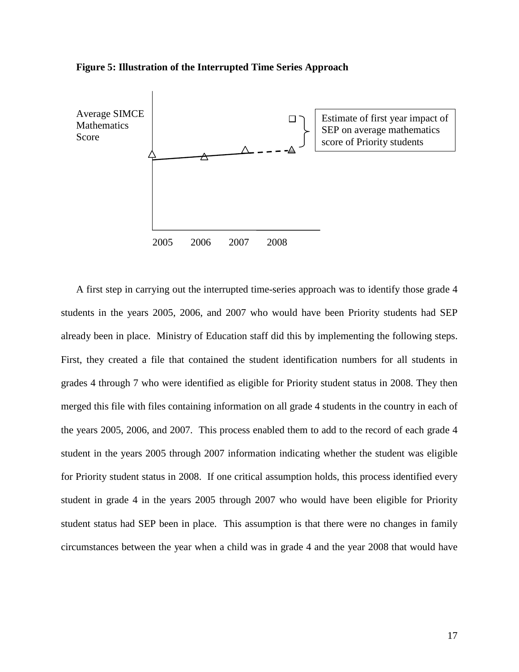

#### <span id="page-16-0"></span>**Figure 5: Illustration of the Interrupted Time Series Approach**

A first step in carrying out the interrupted time-series approach was to identify those grade 4 students in the years 2005, 2006, and 2007 who would have been Priority students had SEP already been in place. Ministry of Education staff did this by implementing the following steps. First, they created a file that contained the student identification numbers for all students in grades 4 through 7 who were identified as eligible for Priority student status in 2008. They then merged this file with files containing information on all grade 4 students in the country in each of the years 2005, 2006, and 2007. This process enabled them to add to the record of each grade 4 student in the years 2005 through 2007 information indicating whether the student was eligible for Priority student status in 2008. If one critical assumption holds, this process identified every student in grade 4 in the years 2005 through 2007 who would have been eligible for Priority student status had SEP been in place. This assumption is that there were no changes in family circumstances between the year when a child was in grade 4 and the year 2008 that would have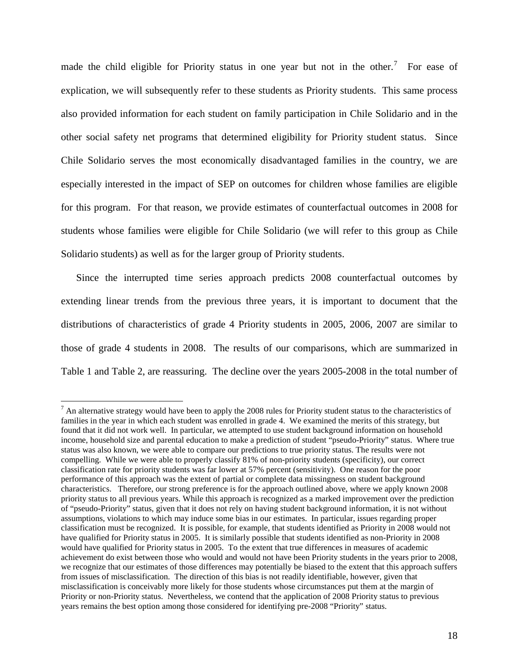made the child eligible for Priority status in one year but not in the other.<sup>[7](#page-17-0)</sup> For ease of explication, we will subsequently refer to these students as Priority students. This same process also provided information for each student on family participation in Chile Solidario and in the other social safety net programs that determined eligibility for Priority student status. Since Chile Solidario serves the most economically disadvantaged families in the country, we are especially interested in the impact of SEP on outcomes for children whose families are eligible for this program. For that reason, we provide estimates of counterfactual outcomes in 2008 for students whose families were eligible for Chile Solidario (we will refer to this group as Chile Solidario students) as well as for the larger group of Priority students.

Since the interrupted time series approach predicts 2008 counterfactual outcomes by extending linear trends from the previous three years, it is important to document that the distributions of characteristics of grade 4 Priority students in 2005, 2006, 2007 are similar to those of grade 4 students in 2008. The results of our comparisons, which are summarized in [Table 1](#page-18-0) and [Table 2,](#page-19-0) are reassuring. The decline over the years 2005-2008 in the total number of

<span id="page-17-0"></span> $<sup>7</sup>$  An alternative strategy would have been to apply the 2008 rules for Priority student status to the characteristics of</sup> families in the year in which each student was enrolled in grade 4. We examined the merits of this strategy, but found that it did not work well. In particular, we attempted to use student background information on household income, household size and parental education to make a prediction of student "pseudo-Priority" status. Where true status was also known, we were able to compare our predictions to true priority status. The results were not compelling. While we were able to properly classify 81% of non-priority students (specificity), our correct classification rate for priority students was far lower at 57% percent (sensitivity). One reason for the poor performance of this approach was the extent of partial or complete data missingness on student background characteristics. Therefore, our strong preference is for the approach outlined above, where we apply known 2008 priority status to all previous years. While this approach is recognized as a marked improvement over the prediction of "pseudo-Priority" status, given that it does not rely on having student background information, it is not without assumptions, violations to which may induce some bias in our estimates. In particular, issues regarding proper classification must be recognized. It is possible, for example, that students identified as Priority in 2008 would not have qualified for Priority status in 2005. It is similarly possible that students identified as non-Priority in 2008 would have qualified for Priority status in 2005. To the extent that true differences in measures of academic achievement do exist between those who would and would not have been Priority students in the years prior to 2008, we recognize that our estimates of those differences may potentially be biased to the extent that this approach suffers from issues of misclassification. The direction of this bias is not readily identifiable, however, given that misclassification is conceivably more likely for those students whose circumstances put them at the margin of Priority or non-Priority status. Nevertheless, we contend that the application of 2008 Priority status to previous years remains the best option among those considered for identifying pre-2008 "Priority" status.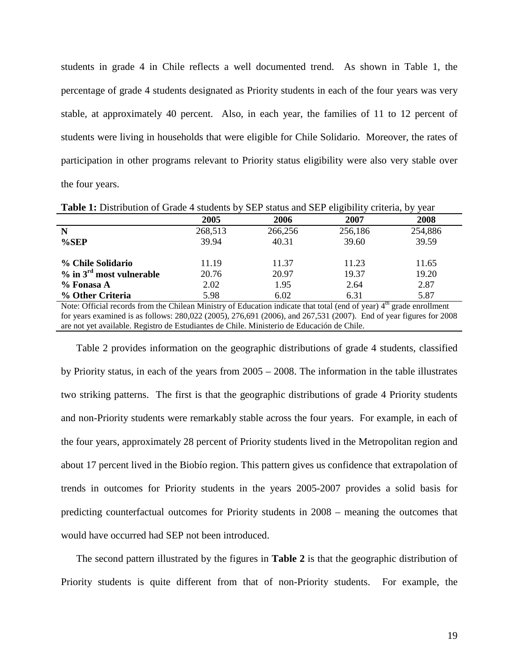students in grade 4 in Chile reflects a well documented trend. As shown in [Table 1,](#page-18-0) the percentage of grade 4 students designated as Priority students in each of the four years was very stable, at approximately 40 percent. Also, in each year, the families of 11 to 12 percent of students were living in households that were eligible for Chile Solidario. Moreover, the rates of participation in other programs relevant to Priority status eligibility were also very stable over the four years.

| <b>THOICE:</b> Distribution of Orago T statistiks by DLI status and DLI Ungrointy Chiefia, by your                               |         |         |         |         |  |  |  |
|----------------------------------------------------------------------------------------------------------------------------------|---------|---------|---------|---------|--|--|--|
|                                                                                                                                  | 2005    | 2006    | 2007    | 2008    |  |  |  |
| N                                                                                                                                | 268,513 | 266,256 | 256,186 | 254,886 |  |  |  |
| $%$ SEP                                                                                                                          | 39.94   | 40.31   | 39.60   | 39.59   |  |  |  |
|                                                                                                                                  |         |         |         |         |  |  |  |
| % Chile Solidario                                                                                                                | 11.19   | 11.37   | 11.23   | 11.65   |  |  |  |
| $\%$ in $3^{\text{rd}}$ most vulnerable                                                                                          | 20.76   | 20.97   | 19.37   | 19.20   |  |  |  |
| % Fonasa A                                                                                                                       | 2.02    | 1.95    | 2.64    | 2.87    |  |  |  |
| % Other Criteria                                                                                                                 | 5.98    | 6.02    | 6.31    | 5.87    |  |  |  |
| Note: Official records from the Chilean Ministry of Education indicate that total (end of year) 4 <sup>th</sup> grade enrollment |         |         |         |         |  |  |  |
| for years examined is as follows: 280,022 (2005), 276,691 (2006), and 267,531 (2007). End of year figures for 2008               |         |         |         |         |  |  |  |
| are not yet available. Registro de Estudiantes de Chile. Ministerio de Educación de Chile.                                       |         |         |         |         |  |  |  |

<span id="page-18-0"></span>**Table 1:** Distribution of Grade 4 students by SEP status and SEP eligibility criteria, by year

[Table 2](#page-19-0) provides information on the geographic distributions of grade 4 students, classified by Priority status, in each of the years from 2005 – 2008. The information in the table illustrates two striking patterns. The first is that the geographic distributions of grade 4 Priority students and non-Priority students were remarkably stable across the four years. For example, in each of the four years, approximately 28 percent of Priority students lived in the Metropolitan region and about 17 percent lived in the Biobío region. This pattern gives us confidence that extrapolation of trends in outcomes for Priority students in the years 2005-2007 provides a solid basis for predicting counterfactual outcomes for Priority students in 2008 – meaning the outcomes that would have occurred had SEP not been introduced.

The second pattern illustrated by the figures in **[Table 2](#page-19-0)** is that the geographic distribution of Priority students is quite different from that of non-Priority students. For example, the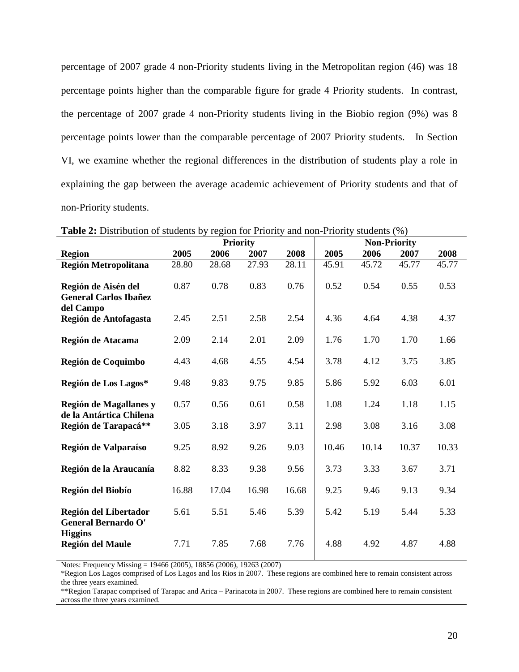percentage of 2007 grade 4 non-Priority students living in the Metropolitan region (46) was 18 percentage points higher than the comparable figure for grade 4 Priority students. In contrast, the percentage of 2007 grade 4 non-Priority students living in the Biobío region (9%) was 8 percentage points lower than the comparable percentage of 2007 Priority students. In Section VI, we examine whether the regional differences in the distribution of students play a role in explaining the gap between the average academic achievement of Priority students and that of non-Priority students.

|                                                                       | <b>Priority</b> |       |       | <b>Non-Priority</b> |       |       |       |       |
|-----------------------------------------------------------------------|-----------------|-------|-------|---------------------|-------|-------|-------|-------|
| <b>Region</b>                                                         | 2005            | 2006  | 2007  | 2008                | 2005  | 2006  | 2007  | 2008  |
| Región Metropolitana                                                  | 28.80           | 28.68 | 27.93 | 28.11               | 45.91 | 45.72 | 45.77 | 45.77 |
| Región de Aisén del<br><b>General Carlos Ibañez</b><br>del Campo      | 0.87            | 0.78  | 0.83  | 0.76                | 0.52  | 0.54  | 0.55  | 0.53  |
| Región de Antofagasta                                                 | 2.45            | 2.51  | 2.58  | 2.54                | 4.36  | 4.64  | 4.38  | 4.37  |
| Región de Atacama                                                     | 2.09            | 2.14  | 2.01  | 2.09                | 1.76  | 1.70  | 1.70  | 1.66  |
| Región de Coquimbo                                                    | 4.43            | 4.68  | 4.55  | 4.54                | 3.78  | 4.12  | 3.75  | 3.85  |
| Región de Los Lagos*                                                  | 9.48            | 9.83  | 9.75  | 9.85                | 5.86  | 5.92  | 6.03  | 6.01  |
| Región de Magallanes y<br>de la Antártica Chilena                     | 0.57            | 0.56  | 0.61  | 0.58                | 1.08  | 1.24  | 1.18  | 1.15  |
| Región de Tarapacá**                                                  | 3.05            | 3.18  | 3.97  | 3.11                | 2.98  | 3.08  | 3.16  | 3.08  |
| Región de Valparaíso                                                  | 9.25            | 8.92  | 9.26  | 9.03                | 10.46 | 10.14 | 10.37 | 10.33 |
| Región de la Araucanía                                                | 8.82            | 8.33  | 9.38  | 9.56                | 3.73  | 3.33  | 3.67  | 3.71  |
| Región del Biobío                                                     | 16.88           | 17.04 | 16.98 | 16.68               | 9.25  | 9.46  | 9.13  | 9.34  |
| Región del Libertador<br><b>General Bernardo O'</b><br><b>Higgins</b> | 5.61            | 5.51  | 5.46  | 5.39                | 5.42  | 5.19  | 5.44  | 5.33  |
| <b>Región del Maule</b>                                               | 7.71            | 7.85  | 7.68  | 7.76                | 4.88  | 4.92  | 4.87  | 4.88  |

<span id="page-19-0"></span>**Table 2:** Distribution of students by region for Priority and non-Priority students (%)

Notes: Frequency Missing = 19466 (2005), 18856 (2006), 19263 (2007)

\*Region Los Lagos comprised of Los Lagos and los Rios in 2007. These regions are combined here to remain consistent across the three years examined.

\*\*Region Tarapac comprised of Tarapac and Arica – Parinacota in 2007. These regions are combined here to remain consistent across the three years examined.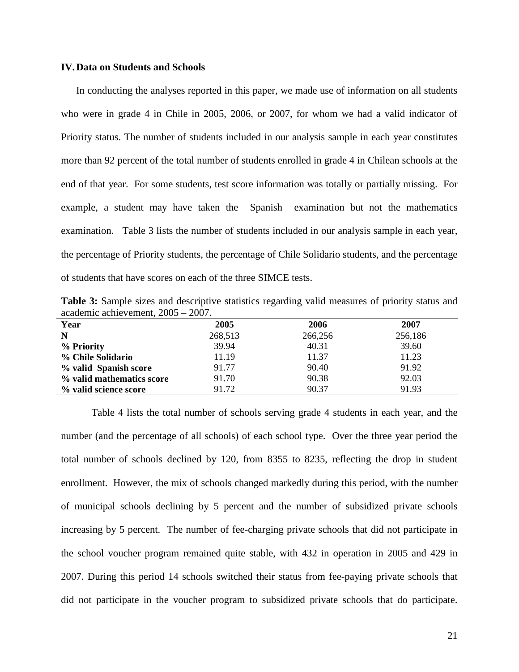## <span id="page-20-0"></span>**IV.Data on Students and Schools**

In conducting the analyses reported in this paper, we made use of information on all students who were in grade 4 in Chile in 2005, 2006, or 2007, for whom we had a valid indicator of Priority status. The number of students included in our analysis sample in each year constitutes more than 92 percent of the total number of students enrolled in grade 4 in Chilean schools at the end of that year. For some students, test score information was totally or partially missing. For example, a student may have taken the Spanish examination but not the mathematics examination. [Table 3](#page-20-1) lists the number of students included in our analysis sample in each year, the percentage of Priority students, the percentage of Chile Solidario students, and the percentage of students that have scores on each of the three SIMCE tests.

<span id="page-20-1"></span>**Table 3:** Sample sizes and descriptive statistics regarding valid measures of priority status and academic achievement, 2005 – 2007.

| Year                      | 2005    | 2006    | 2007    |
|---------------------------|---------|---------|---------|
| $\mathbf N$               | 268,513 | 266,256 | 256,186 |
| % Priority                | 39.94   | 40.31   | 39.60   |
| % Chile Solidario         | 11.19   | 11.37   | 11.23   |
| % valid Spanish score     | 91.77   | 90.40   | 91.92   |
| % valid mathematics score | 91.70   | 90.38   | 92.03   |
| % valid science score     | 91.72   | 90.37   | 91.93   |

[Table 4](#page-21-0) lists the total number of schools serving grade 4 students in each year, and the number (and the percentage of all schools) of each school type. Over the three year period the total number of schools declined by 120, from 8355 to 8235, reflecting the drop in student enrollment. However, the mix of schools changed markedly during this period, with the number of municipal schools declining by 5 percent and the number of subsidized private schools increasing by 5 percent. The number of fee-charging private schools that did not participate in the school voucher program remained quite stable, with 432 in operation in 2005 and 429 in 2007. During this period 14 schools switched their status from fee-paying private schools that did not participate in the voucher program to subsidized private schools that do participate.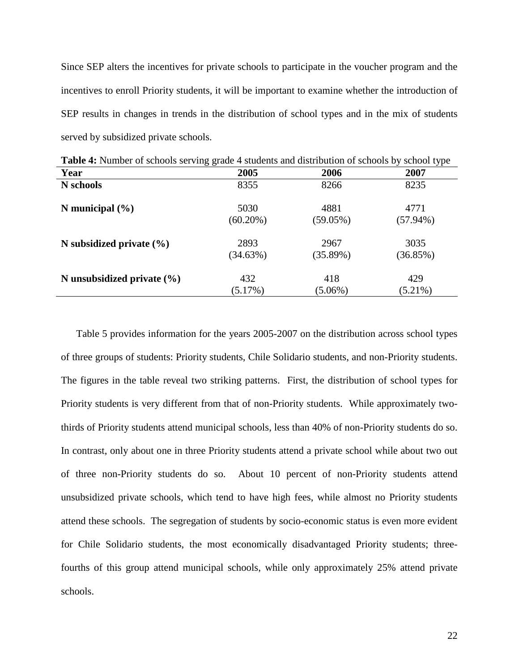Since SEP alters the incentives for private schools to participate in the voucher program and the incentives to enroll Priority students, it will be important to examine whether the introduction of SEP results in changes in trends in the distribution of school types and in the mix of students served by subsidized private schools.

| <b>Table <math>\pi</math>.</b> INDITIOUR OF SCHOOLS SCIVING grade $\pi$ stadents and distribution of schools by school type |             |             |             |  |  |  |
|-----------------------------------------------------------------------------------------------------------------------------|-------------|-------------|-------------|--|--|--|
| Year                                                                                                                        | 2005        | 2006        | 2007        |  |  |  |
| N schools                                                                                                                   | 8355        | 8266        | 8235        |  |  |  |
| N municipal $(\% )$                                                                                                         | 5030        | 4881        | 4771        |  |  |  |
|                                                                                                                             | $(60.20\%)$ | $(59.05\%)$ | $(57.94\%)$ |  |  |  |
| N subsidized private $(\% )$                                                                                                | 2893        | 2967        | 3035        |  |  |  |
|                                                                                                                             | (34.63%)    | (35.89%)    | (36.85%)    |  |  |  |
| N unsubsidized private $(\% )$                                                                                              | 432         | 418         | 429         |  |  |  |
|                                                                                                                             | (5.17%)     | $(5.06\%)$  | $(5.21\%)$  |  |  |  |

<span id="page-21-0"></span>**Table 4:** Number of schools serving grade 4 students and distribution of schools by school type

[Table 5](#page-23-0) provides information for the years 2005-2007 on the distribution across school types of three groups of students: Priority students, Chile Solidario students, and non-Priority students. The figures in the table reveal two striking patterns. First, the distribution of school types for Priority students is very different from that of non-Priority students. While approximately twothirds of Priority students attend municipal schools, less than 40% of non-Priority students do so. In contrast, only about one in three Priority students attend a private school while about two out of three non-Priority students do so. About 10 percent of non-Priority students attend unsubsidized private schools, which tend to have high fees, while almost no Priority students attend these schools. The segregation of students by socio-economic status is even more evident for Chile Solidario students, the most economically disadvantaged Priority students; threefourths of this group attend municipal schools, while only approximately 25% attend private schools.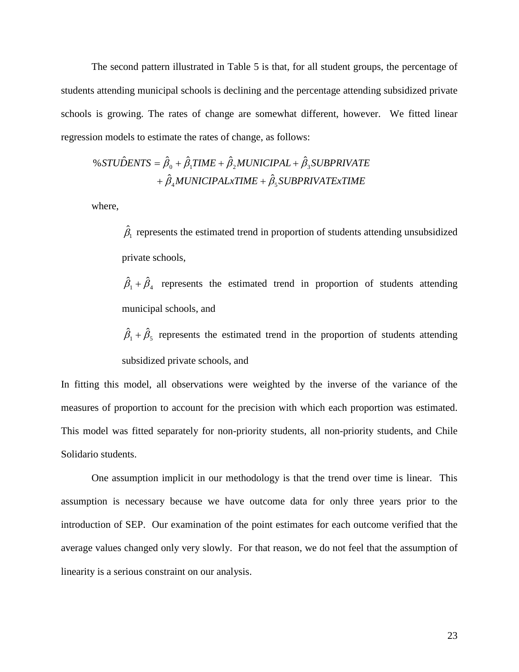The second pattern illustrated in [Table 5](#page-23-0) is that, for all student groups, the percentage of students attending municipal schools is declining and the percentage attending subsidized private schools is growing. The rates of change are somewhat different, however. We fitted linear regression models to estimate the rates of change, as follows:

$$
\% STUDENTS = \hat{\beta}_0 + \hat{\beta}_1 TIME + \hat{\beta}_2 MUNICIPAL + \hat{\beta}_3 SUBPRIVATE + \hat{\beta}_4 MUNICIPALxTIME + \hat{\beta}_5 SUBPRIVATExTIME
$$

where,

 $\hat{\beta}_1$  represents the estimated trend in proportion of students attending unsubsidized private schools,

 $\hat{\beta}_1 + \hat{\beta}_4$  represents the estimated trend in proportion of students attending municipal schools, and

 $\hat{\beta}_1 + \hat{\beta}_5$  represents the estimated trend in the proportion of students attending subsidized private schools, and

In fitting this model, all observations were weighted by the inverse of the variance of the measures of proportion to account for the precision with which each proportion was estimated. This model was fitted separately for non-priority students, all non-priority students, and Chile Solidario students.

One assumption implicit in our methodology is that the trend over time is linear. This assumption is necessary because we have outcome data for only three years prior to the introduction of SEP. Our examination of the point estimates for each outcome verified that the average values changed only very slowly. For that reason, we do not feel that the assumption of linearity is a serious constraint on our analysis.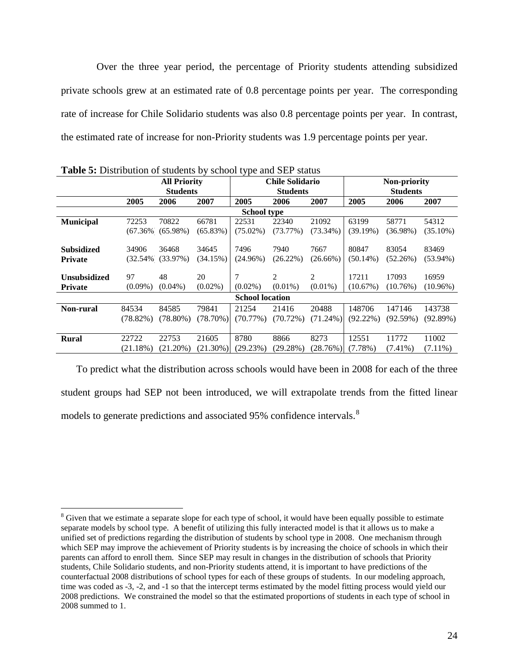Over the three year period, the percentage of Priority students attending subsidized private schools grew at an estimated rate of 0.8 percentage points per year. The corresponding rate of increase for Chile Solidario students was also 0.8 percentage points per year. In contrast, the estimated rate of increase for non-Priority students was 1.9 percentage points per year.

|                     | <b>Example 2.</b> Distribution of stations by sensor type and state states |                      |             |                        |                 |             |              |                 |             |  |
|---------------------|----------------------------------------------------------------------------|----------------------|-------------|------------------------|-----------------|-------------|--------------|-----------------|-------------|--|
|                     | <b>All Priority</b>                                                        |                      |             | <b>Chile Solidario</b> |                 |             | Non-priority |                 |             |  |
|                     |                                                                            | <b>Students</b>      |             |                        | <b>Students</b> |             |              | <b>Students</b> |             |  |
|                     | 2005                                                                       | 2006                 | 2007        | 2005                   | 2006            | 2007        | 2005         | 2006            | 2007        |  |
|                     |                                                                            |                      |             | <b>School type</b>     |                 |             |              |                 |             |  |
| <b>Municipal</b>    | 72253                                                                      | 70822                | 66781       | 22531                  | 22340           | 21092       | 63199        | 58771           | 54312       |  |
|                     |                                                                            | $(67.36\%)(65.98\%)$ | (65.83%)    | $(75.02\%)$            | (73.77%)        | $(73.34\%)$ | (39.19%)     | $(36.98\%)$     | $(35.10\%)$ |  |
|                     |                                                                            |                      |             |                        |                 |             |              |                 |             |  |
| <b>Subsidized</b>   | 34906                                                                      | 36468                | 34645       | 7496                   | 7940            | 7667        | 80847        | 83054           | 83469       |  |
| <b>Private</b>      |                                                                            | $(32.54\%)(33.97\%)$ | (34.15%)    | $(24.96\%)$            | $(26.22\%)$     | $(26.66\%)$ | $(50.14\%)$  | (52.26%)        | $(53.94\%)$ |  |
|                     |                                                                            |                      |             |                        |                 |             |              |                 |             |  |
| <b>Unsubsidized</b> | 97                                                                         | 48                   | 20          |                        | 2               | 2           | 17211        | 17093           | 16959       |  |
| <b>Private</b>      | $(0.09\%)$                                                                 | $(0.04\%)$           | $(0.02\%)$  | $(0.02\%)$             | $(0.01\%)$      | $(0.01\%)$  | (10.67%)     | (10.76%)        | $(10.96\%)$ |  |
|                     |                                                                            |                      |             | <b>School location</b> |                 |             |              |                 |             |  |
| <b>Non-rural</b>    | 84534                                                                      | 84585                | 79841       | 21254                  | 21416           | 20488       | 148706       | 147146          | 143738      |  |
|                     | $(78.82\%)$                                                                | $(78.80\%)$          | $(78.70\%)$ | $(70.77\%)$            | $(70.72\%)$     | $(71.24\%)$ | $(92.22\%)$  | (92.59%)        | (92.89%)    |  |
|                     |                                                                            |                      |             |                        |                 |             |              |                 |             |  |
| <b>Rural</b>        | 22722                                                                      | 22753                | 21605       | 8780                   | 8866            | 8273        | 12551        | 11772           | 11002       |  |
|                     | $(21.18\%)$                                                                | $(21.20\%)$          | $(21.30\%)$ | (29.23%)               | (29.28%)        | (28.76%)    | $(7.78\%)$   | $(7.41\%)$      | $(7.11\%)$  |  |
|                     |                                                                            |                      |             |                        |                 |             |              |                 |             |  |

<span id="page-23-0"></span>**Table 5:** Distribution of students by school type and SEP status

To predict what the distribution across schools would have been in 2008 for each of the three student groups had SEP not been introduced, we will extrapolate trends from the fitted linear models to generate predictions and associated 95% confidence intervals.<sup>[8](#page-23-1)</sup>

<span id="page-23-1"></span><sup>&</sup>lt;sup>8</sup> Given that we estimate a separate slope for each type of school, it would have been equally possible to estimate separate models by school type. A benefit of utilizing this fully interacted model is that it allows us to make a unified set of predictions regarding the distribution of students by school type in 2008. One mechanism through which SEP may improve the achievement of Priority students is by increasing the choice of schools in which their parents can afford to enroll them. Since SEP may result in changes in the distribution of schools that Priority students, Chile Solidario students, and non-Priority students attend, it is important to have predictions of the counterfactual 2008 distributions of school types for each of these groups of students. In our modeling approach, time was coded as -3, -2, and -1 so that the intercept terms estimated by the model fitting process would yield our 2008 predictions. We constrained the model so that the estimated proportions of students in each type of school in 2008 summed to 1.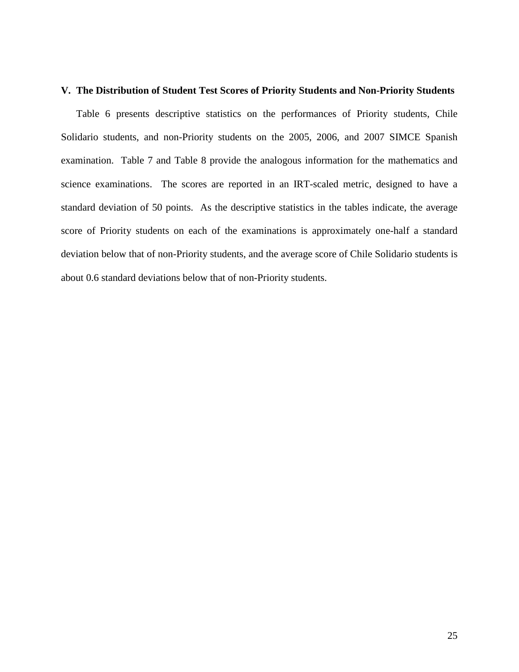## <span id="page-24-0"></span>**V. The Distribution of Student Test Scores of Priority Students and Non-Priority Students**

[Table 6](#page-25-0) presents descriptive statistics on the performances of Priority students, Chile Solidario students, and non-Priority students on the 2005, 2006, and 2007 SIMCE Spanish examination. [Table 7](#page-25-1) and [Table 8](#page-25-2) provide the analogous information for the mathematics and science examinations. The scores are reported in an IRT-scaled metric, designed to have a standard deviation of 50 points. As the descriptive statistics in the tables indicate, the average score of Priority students on each of the examinations is approximately one-half a standard deviation below that of non-Priority students, and the average score of Chile Solidario students is about 0.6 standard deviations below that of non-Priority students.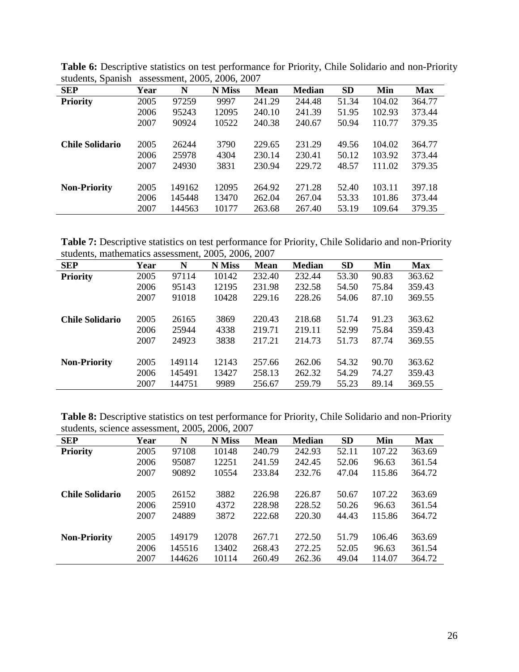| <b>SEP</b>             | Year | N      | <b>N</b> Miss | <b>Mean</b> | <b>Median</b> | <b>SD</b> | Min    | <b>Max</b> |
|------------------------|------|--------|---------------|-------------|---------------|-----------|--------|------------|
| <b>Priority</b>        | 2005 | 97259  | 9997          | 241.29      | 244.48        | 51.34     | 104.02 | 364.77     |
|                        | 2006 | 95243  | 12095         | 240.10      | 241.39        | 51.95     | 102.93 | 373.44     |
|                        | 2007 | 90924  | 10522         | 240.38      | 240.67        | 50.94     | 110.77 | 379.35     |
| <b>Chile Solidario</b> | 2005 | 26244  | 3790          | 229.65      | 231.29        | 49.56     | 104.02 | 364.77     |
|                        | 2006 | 25978  | 4304          | 230.14      | 230.41        | 50.12     | 103.92 | 373.44     |
|                        | 2007 | 24930  | 3831          | 230.94      | 229.72        | 48.57     | 111.02 | 379.35     |
|                        |      |        |               |             |               |           |        |            |
| <b>Non-Priority</b>    | 2005 | 149162 | 12095         | 264.92      | 271.28        | 52.40     | 103.11 | 397.18     |
|                        | 2006 | 145448 | 13470         | 262.04      | 267.04        | 53.33     | 101.86 | 373.44     |
|                        | 2007 | 144563 | 10177         | 263.68      | 267.40        | 53.19     | 109.64 | 379.35     |

<span id="page-25-0"></span>**Table 6:** Descriptive statistics on test performance for Priority, Chile Solidario and non-Priority students, Spanish assessment, 2005, 2006, 2007

<span id="page-25-1"></span>**Table 7:** Descriptive statistics on test performance for Priority, Chile Solidario and non-Priority students, mathematics assessment, 2005, 2006, 2007

| <b>SEP</b>             | Year | N      | <b>N</b> Miss | <b>Mean</b> | <b>Median</b> | <b>SD</b> | Min   | <b>Max</b> |
|------------------------|------|--------|---------------|-------------|---------------|-----------|-------|------------|
| <b>Priority</b>        | 2005 | 97114  | 10142         | 232.40      | 232.44        | 53.30     | 90.83 | 363.62     |
|                        | 2006 | 95143  | 12195         | 231.98      | 232.58        | 54.50     | 75.84 | 359.43     |
|                        | 2007 | 91018  | 10428         | 229.16      | 228.26        | 54.06     | 87.10 | 369.55     |
|                        |      |        |               |             |               |           |       |            |
| <b>Chile Solidario</b> | 2005 | 26165  | 3869          | 220.43      | 218.68        | 51.74     | 91.23 | 363.62     |
|                        | 2006 | 25944  | 4338          | 219.71      | 219.11        | 52.99     | 75.84 | 359.43     |
|                        | 2007 | 24923  | 3838          | 217.21      | 214.73        | 51.73     | 87.74 | 369.55     |
|                        |      |        |               |             |               |           |       |            |
| <b>Non-Priority</b>    | 2005 | 149114 | 12143         | 257.66      | 262.06        | 54.32     | 90.70 | 363.62     |
|                        | 2006 | 145491 | 13427         | 258.13      | 262.32        | 54.29     | 74.27 | 359.43     |
|                        | 2007 | 144751 | 9989          | 256.67      | 259.79        | 55.23     | 89.14 | 369.55     |

<span id="page-25-2"></span>**Table 8:** Descriptive statistics on test performance for Priority, Chile Solidario and non-Priority students, science assessment, 2005, 2006, 2007

| <b>SEP</b>             | Year | N      | N Miss | <b>Mean</b> | <b>Median</b> | <b>SD</b> | Min    | <b>Max</b> |
|------------------------|------|--------|--------|-------------|---------------|-----------|--------|------------|
| <b>Priority</b>        | 2005 | 97108  | 10148  | 240.79      | 242.93        | 52.11     | 107.22 | 363.69     |
|                        | 2006 | 95087  | 12251  | 241.59      | 242.45        | 52.06     | 96.63  | 361.54     |
|                        | 2007 | 90892  | 10554  | 233.84      | 232.76        | 47.04     | 115.86 | 364.72     |
| <b>Chile Solidario</b> | 2005 | 26152  | 3882   | 226.98      | 226.87        | 50.67     | 107.22 | 363.69     |
|                        | 2006 | 25910  | 4372   | 228.98      | 228.52        | 50.26     | 96.63  | 361.54     |
|                        | 2007 | 24889  | 3872   | 222.68      | 220.30        | 44.43     | 115.86 | 364.72     |
|                        |      |        |        |             |               |           |        |            |
| <b>Non-Priority</b>    | 2005 | 149179 | 12078  | 267.71      | 272.50        | 51.79     | 106.46 | 363.69     |
|                        | 2006 | 145516 | 13402  | 268.43      | 272.25        | 52.05     | 96.63  | 361.54     |
|                        | 2007 | 144626 | 10114  | 260.49      | 262.36        | 49.04     | 114.07 | 364.72     |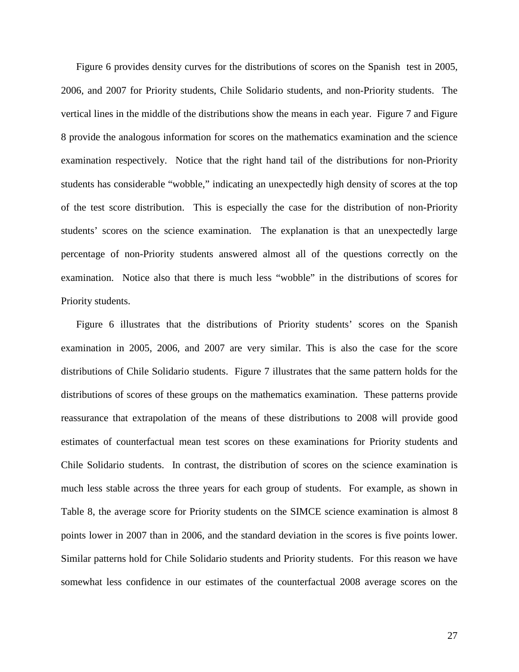[Figure 6](#page-28-0) provides density curves for the distributions of scores on the Spanish test in 2005, 2006, and 2007 for Priority students, Chile Solidario students, and non-Priority students. The vertical lines in the middle of the distributions show the means in each year. [Figure 7](#page-29-0) and [Figure](#page-30-0)  [8](#page-30-0) provide the analogous information for scores on the mathematics examination and the science examination respectively. Notice that the right hand tail of the distributions for non-Priority students has considerable "wobble," indicating an unexpectedly high density of scores at the top of the test score distribution. This is especially the case for the distribution of non-Priority students' scores on the science examination. The explanation is that an unexpectedly large percentage of non-Priority students answered almost all of the questions correctly on the examination. Notice also that there is much less "wobble" in the distributions of scores for Priority students.

[Figure 6](#page-28-0) illustrates that the distributions of Priority students' scores on the Spanish examination in 2005, 2006, and 2007 are very similar. This is also the case for the score distributions of Chile Solidario students. [Figure 7](#page-29-0) illustrates that the same pattern holds for the distributions of scores of these groups on the mathematics examination. These patterns provide reassurance that extrapolation of the means of these distributions to 2008 will provide good estimates of counterfactual mean test scores on these examinations for Priority students and Chile Solidario students. In contrast, the distribution of scores on the science examination is much less stable across the three years for each group of students. For example, as shown in [Table 8,](#page-25-2) the average score for Priority students on the SIMCE science examination is almost 8 points lower in 2007 than in 2006, and the standard deviation in the scores is five points lower. Similar patterns hold for Chile Solidario students and Priority students. For this reason we have somewhat less confidence in our estimates of the counterfactual 2008 average scores on the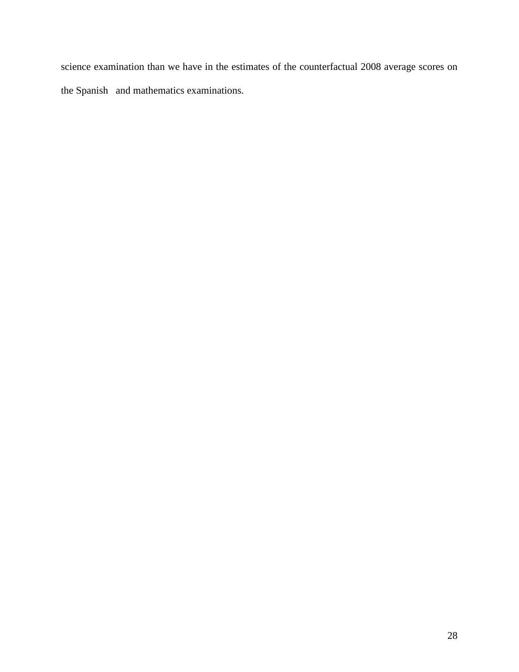science examination than we have in the estimates of the counterfactual 2008 average scores on the Spanish and mathematics examinations.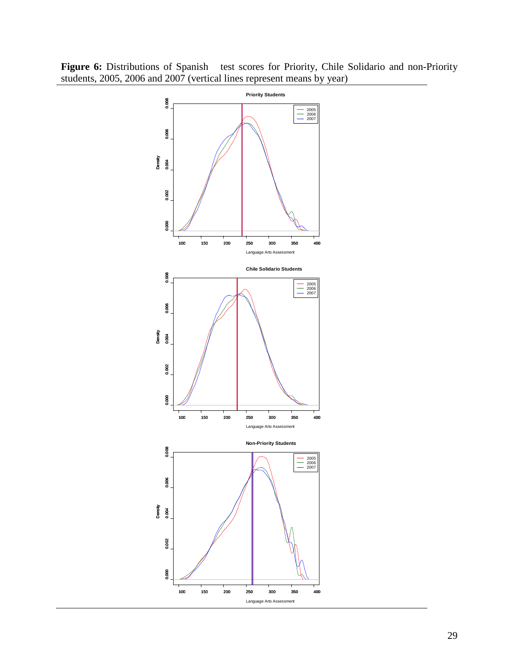

<span id="page-28-0"></span>Figure 6: Distributions of Spanish test scores for Priority, Chile Solidario and non-Priority students, 2005, 2006 and 2007 (vertical lines represent means by year)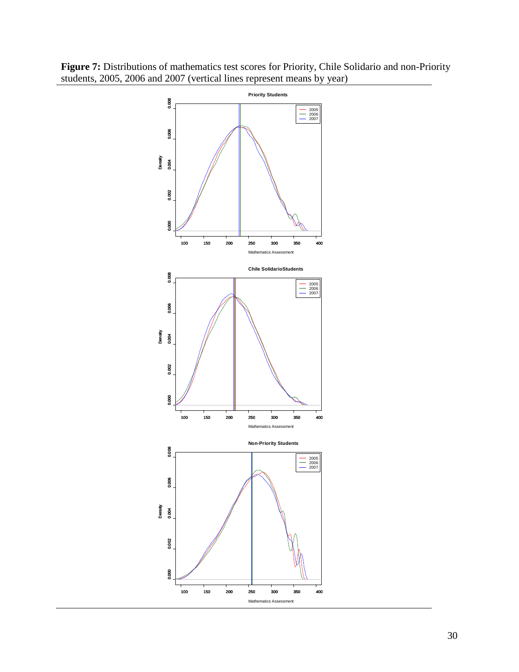

<span id="page-29-0"></span>**Figure 7:** Distributions of mathematics test scores for Priority, Chile Solidario and non-Priority students, 2005, 2006 and 2007 (vertical lines represent means by year)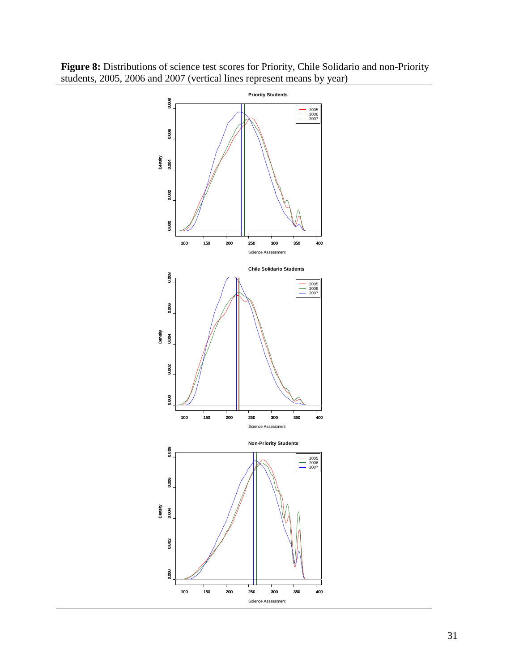

<span id="page-30-0"></span>**Figure 8:** Distributions of science test scores for Priority, Chile Solidario and non-Priority students, 2005, 2006 and 2007 (vertical lines represent means by year)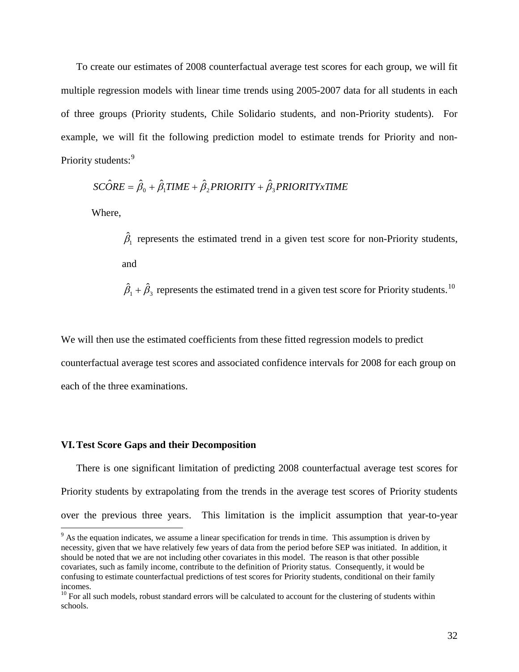To create our estimates of 2008 counterfactual average test scores for each group, we will fit multiple regression models with linear time trends using 2005-2007 data for all students in each of three groups (Priority students, Chile Solidario students, and non-Priority students). For example, we will fit the following prediction model to estimate trends for Priority and non-Priority students:<sup>[9](#page-31-1)</sup>

$$
SC\hat{O}RE = \hat{\beta}_0 + \hat{\beta}_1 TIME + \hat{\beta}_2 PRIORITY + \hat{\beta}_3 PRIORITYxTIME
$$

Where,

 $\hat{\beta}_1$  represents the estimated trend in a given test score for non-Priority students, and

 $\hat{\beta}_1 + \hat{\beta}_2$  represents the estimated trend in a given test score for Priority students.<sup>[10](#page-31-2)</sup>

We will then use the estimated coefficients from these fitted regression models to predict counterfactual average test scores and associated confidence intervals for 2008 for each group on each of the three examinations.

### <span id="page-31-0"></span>**VI.Test Score Gaps and their Decomposition**

There is one significant limitation of predicting 2008 counterfactual average test scores for Priority students by extrapolating from the trends in the average test scores of Priority students over the previous three years. This limitation is the implicit assumption that year-to-year

<span id="page-31-1"></span><sup>&</sup>lt;sup>9</sup> As the equation indicates, we assume a linear specification for trends in time. This assumption is driven by necessity, given that we have relatively few years of data from the period before SEP was initiated. In addition, it should be noted that we are not including other covariates in this model. The reason is that other possible covariates, such as family income, contribute to the definition of Priority status. Consequently, it would be confusing to estimate counterfactual predictions of test scores for Priority students, conditional on their family incomes.

<span id="page-31-2"></span> $10$  For all such models, robust standard errors will be calculated to account for the clustering of students within schools.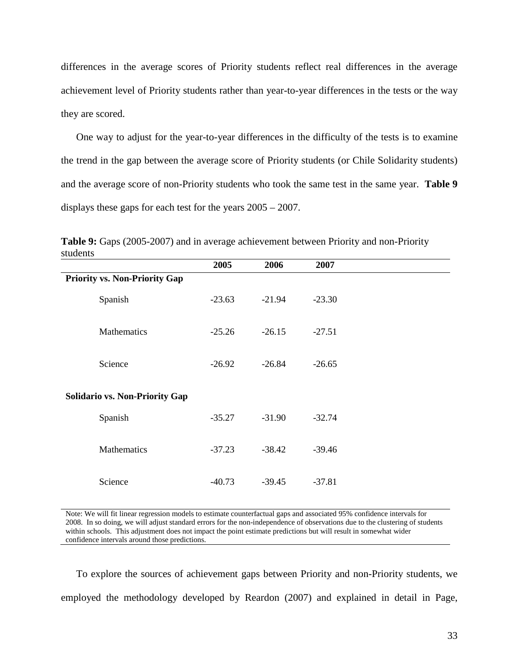differences in the average scores of Priority students reflect real differences in the average achievement level of Priority students rather than year-to-year differences in the tests or the way they are scored.

One way to adjust for the year-to-year differences in the difficulty of the tests is to examine the trend in the gap between the average score of Priority students (or Chile Solidarity students) and the average score of non-Priority students who took the same test in the same year. **[Table 9](#page-32-0)** displays these gaps for each test for the years 2005 – 2007.

|                                       | 2005     | 2006     | 2007     |  |
|---------------------------------------|----------|----------|----------|--|
| <b>Priority vs. Non-Priority Gap</b>  |          |          |          |  |
| Spanish                               | $-23.63$ | $-21.94$ | $-23.30$ |  |
| Mathematics                           | $-25.26$ | $-26.15$ | $-27.51$ |  |
| Science                               | $-26.92$ | $-26.84$ | $-26.65$ |  |
| <b>Solidario vs. Non-Priority Gap</b> |          |          |          |  |
| Spanish                               | $-35.27$ | $-31.90$ | $-32.74$ |  |
| Mathematics                           | $-37.23$ | $-38.42$ | $-39.46$ |  |
| Science                               | $-40.73$ | $-39.45$ | $-37.81$ |  |

<span id="page-32-0"></span>**Table 9:** Gaps (2005-2007) and in average achievement between Priority and non-Priority students

Note: We will fit linear regression models to estimate counterfactual gaps and associated 95% confidence intervals for 2008. In so doing, we will adjust standard errors for the non-independence of observations due to the clustering of students within schools. This adjustment does not impact the point estimate predictions but will result in somewhat wider confidence intervals around those predictions.

To explore the sources of achievement gaps between Priority and non-Priority students, we employed the methodology developed by Reardon (2007) and explained in detail in Page,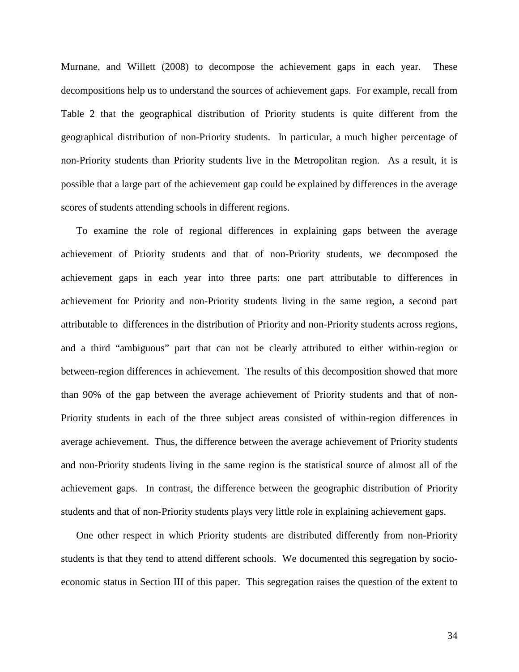Murnane, and Willett (2008) to decompose the achievement gaps in each year. These decompositions help us to understand the sources of achievement gaps. For example, recall from [Table 2](#page-19-0) that the geographical distribution of Priority students is quite different from the geographical distribution of non-Priority students. In particular, a much higher percentage of non-Priority students than Priority students live in the Metropolitan region. As a result, it is possible that a large part of the achievement gap could be explained by differences in the average scores of students attending schools in different regions.

To examine the role of regional differences in explaining gaps between the average achievement of Priority students and that of non-Priority students, we decomposed the achievement gaps in each year into three parts: one part attributable to differences in achievement for Priority and non-Priority students living in the same region, a second part attributable to differences in the distribution of Priority and non-Priority students across regions, and a third "ambiguous" part that can not be clearly attributed to either within-region or between-region differences in achievement. The results of this decomposition showed that more than 90% of the gap between the average achievement of Priority students and that of non-Priority students in each of the three subject areas consisted of within-region differences in average achievement. Thus, the difference between the average achievement of Priority students and non-Priority students living in the same region is the statistical source of almost all of the achievement gaps. In contrast, the difference between the geographic distribution of Priority students and that of non-Priority students plays very little role in explaining achievement gaps.

One other respect in which Priority students are distributed differently from non-Priority students is that they tend to attend different schools. We documented this segregation by socioeconomic status in Section III of this paper. This segregation raises the question of the extent to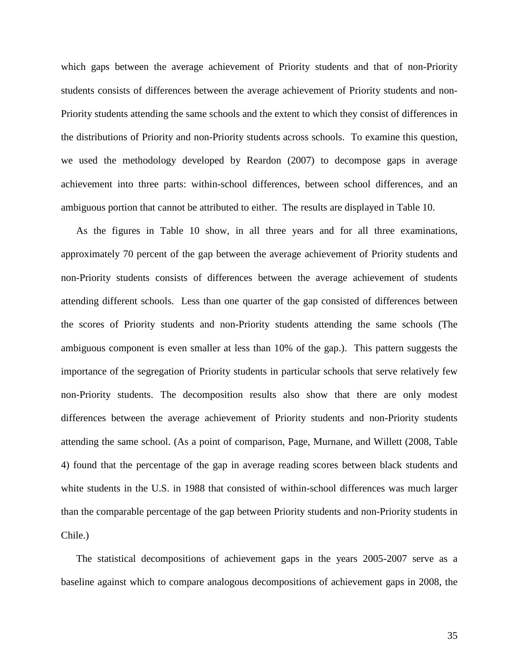which gaps between the average achievement of Priority students and that of non-Priority students consists of differences between the average achievement of Priority students and non-Priority students attending the same schools and the extent to which they consist of differences in the distributions of Priority and non-Priority students across schools. To examine this question, we used the methodology developed by Reardon (2007) to decompose gaps in average achievement into three parts: within-school differences, between school differences, and an ambiguous portion that cannot be attributed to either. The results are displayed in [Table 10.](#page-35-0)

As the figures in [Table 10](#page-35-0) show, in all three years and for all three examinations, approximately 70 percent of the gap between the average achievement of Priority students and non-Priority students consists of differences between the average achievement of students attending different schools. Less than one quarter of the gap consisted of differences between the scores of Priority students and non-Priority students attending the same schools (The ambiguous component is even smaller at less than 10% of the gap.). This pattern suggests the importance of the segregation of Priority students in particular schools that serve relatively few non-Priority students. The decomposition results also show that there are only modest differences between the average achievement of Priority students and non-Priority students attending the same school. (As a point of comparison, Page, Murnane, and Willett (2008, Table 4) found that the percentage of the gap in average reading scores between black students and white students in the U.S. in 1988 that consisted of within-school differences was much larger than the comparable percentage of the gap between Priority students and non-Priority students in Chile.)

The statistical decompositions of achievement gaps in the years 2005-2007 serve as a baseline against which to compare analogous decompositions of achievement gaps in 2008, the

35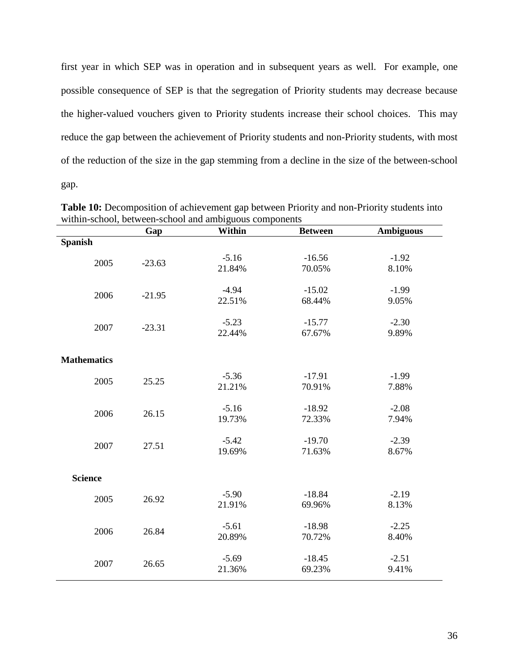first year in which SEP was in operation and in subsequent years as well. For example, one possible consequence of SEP is that the segregation of Priority students may decrease because the higher-valued vouchers given to Priority students increase their school choices. This may reduce the gap between the achievement of Priority students and non-Priority students, with most of the reduction of the size in the gap stemming from a decline in the size of the between-school gap.

|                    | Gap      | within-school, occween-school and amorgaous components<br>Within | <b>Between</b>     | <b>Ambiguous</b> |
|--------------------|----------|------------------------------------------------------------------|--------------------|------------------|
| <b>Spanish</b>     |          |                                                                  |                    |                  |
| 2005               | $-23.63$ | $-5.16$<br>21.84%                                                | $-16.56$<br>70.05% | $-1.92$<br>8.10% |
| 2006               | $-21.95$ | $-4.94$<br>22.51%                                                | $-15.02$<br>68.44% | $-1.99$<br>9.05% |
| 2007               | $-23.31$ | $-5.23$<br>22.44%                                                | $-15.77$<br>67.67% | $-2.30$<br>9.89% |
| <b>Mathematics</b> |          |                                                                  |                    |                  |
| 2005               | 25.25    | $-5.36$<br>21.21%                                                | $-17.91$<br>70.91% | $-1.99$<br>7.88% |
| 2006               | 26.15    | $-5.16$<br>19.73%                                                | $-18.92$<br>72.33% | $-2.08$<br>7.94% |
| 2007               | 27.51    | $-5.42$<br>19.69%                                                | $-19.70$<br>71.63% | $-2.39$<br>8.67% |
| <b>Science</b>     |          |                                                                  |                    |                  |
| 2005               | 26.92    | $-5.90$<br>21.91%                                                | $-18.84$<br>69.96% | $-2.19$<br>8.13% |
| 2006               | 26.84    | $-5.61$<br>20.89%                                                | $-18.98$<br>70.72% | $-2.25$<br>8.40% |
| 2007               | 26.65    | $-5.69$<br>21.36%                                                | $-18.45$<br>69.23% | $-2.51$<br>9.41% |

<span id="page-35-0"></span>**Table 10:** Decomposition of achievement gap between Priority and non-Priority students into within-school, between-school and ambiguous components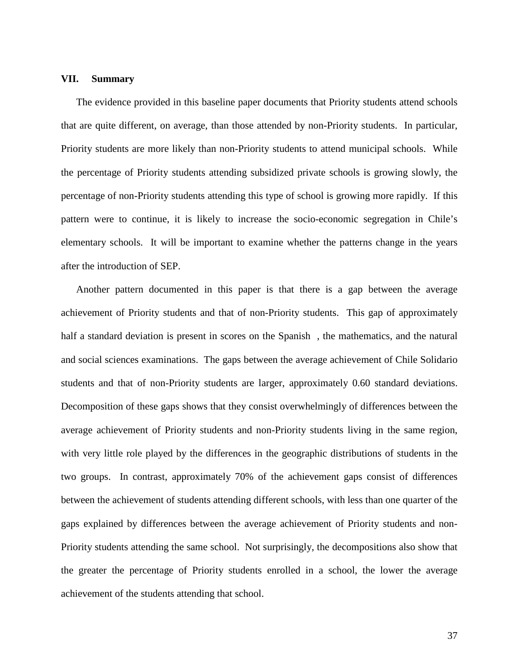## <span id="page-36-0"></span>**VII. Summary**

The evidence provided in this baseline paper documents that Priority students attend schools that are quite different, on average, than those attended by non-Priority students. In particular, Priority students are more likely than non-Priority students to attend municipal schools. While the percentage of Priority students attending subsidized private schools is growing slowly, the percentage of non-Priority students attending this type of school is growing more rapidly. If this pattern were to continue, it is likely to increase the socio-economic segregation in Chile's elementary schools. It will be important to examine whether the patterns change in the years after the introduction of SEP.

Another pattern documented in this paper is that there is a gap between the average achievement of Priority students and that of non-Priority students. This gap of approximately half a standard deviation is present in scores on the Spanish , the mathematics, and the natural and social sciences examinations. The gaps between the average achievement of Chile Solidario students and that of non-Priority students are larger, approximately 0.60 standard deviations. Decomposition of these gaps shows that they consist overwhelmingly of differences between the average achievement of Priority students and non-Priority students living in the same region, with very little role played by the differences in the geographic distributions of students in the two groups. In contrast, approximately 70% of the achievement gaps consist of differences between the achievement of students attending different schools, with less than one quarter of the gaps explained by differences between the average achievement of Priority students and non-Priority students attending the same school. Not surprisingly, the decompositions also show that the greater the percentage of Priority students enrolled in a school, the lower the average achievement of the students attending that school.